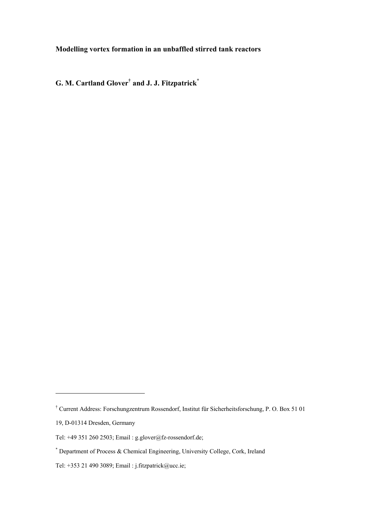# **Modelling vortex formation in an unbaffled stirred tank reactors**

**G. M. Cartland Glover† and J. J. Fitzpatrick\***

 $\overline{a}$ 

<sup>†</sup> Current Address: Forschungzentrum Rossendorf, Institut für Sicherheitsforschung, P. O. Box 51 01

<sup>19,</sup> D-01314 Dresden, Germany

Tel: +49 351 260 2503; Email : g.glover@fz-rossendorf.de;

<sup>\*</sup> Department of Process & Chemical Engineering, University College, Cork, Ireland

Tel: +353 21 490 3089; Email : j.fitzpatrick@ucc.ie;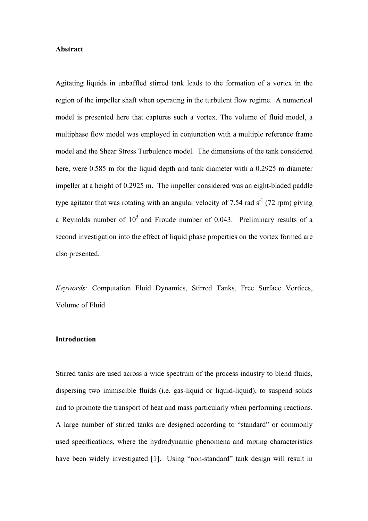# **Abstract**

Agitating liquids in unbaffled stirred tank leads to the formation of a vortex in the region of the impeller shaft when operating in the turbulent flow regime. A numerical model is presented here that captures such a vortex. The volume of fluid model, a multiphase flow model was employed in conjunction with a multiple reference frame model and the Shear Stress Turbulence model. The dimensions of the tank considered here, were 0.585 m for the liquid depth and tank diameter with a 0.2925 m diameter impeller at a height of 0.2925 m. The impeller considered was an eight-bladed paddle type agitator that was rotating with an angular velocity of 7.54 rad  $s^{-1}$  (72 rpm) giving a Reynolds number of  $10^5$  and Froude number of 0.043. Preliminary results of a second investigation into the effect of liquid phase properties on the vortex formed are also presented.

*Keywords:* Computation Fluid Dynamics, Stirred Tanks, Free Surface Vortices, Volume of Fluid

#### **Introduction**

Stirred tanks are used across a wide spectrum of the process industry to blend fluids, dispersing two immiscible fluids (i.e. gas-liquid or liquid-liquid), to suspend solids and to promote the transport of heat and mass particularly when performing reactions. A large number of stirred tanks are designed according to "standard" or commonly used specifications, where the hydrodynamic phenomena and mixing characteristics have been widely investigated [1]. Using "non-standard" tank design will result in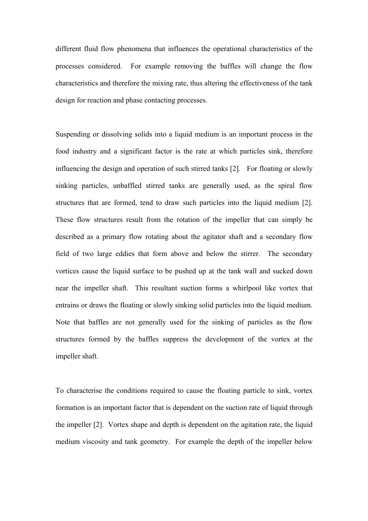different fluid flow phenomena that influences the operational characteristics of the processes considered. For example removing the baffles will change the flow characteristics and therefore the mixing rate, thus altering the effectiveness of the tank design for reaction and phase contacting processes.

Suspending or dissolving solids into a liquid medium is an important process in the food industry and a significant factor is the rate at which particles sink, therefore influencing the design and operation of such stirred tanks [2]. For floating or slowly sinking particles, unbaffled stirred tanks are generally used, as the spiral flow structures that are formed, tend to draw such particles into the liquid medium [2]. These flow structures result from the rotation of the impeller that can simply be described as a primary flow rotating about the agitator shaft and a secondary flow field of two large eddies that form above and below the stirrer. The secondary vortices cause the liquid surface to be pushed up at the tank wall and sucked down near the impeller shaft. This resultant suction forms a whirlpool like vortex that entrains or draws the floating or slowly sinking solid particles into the liquid medium. Note that baffles are not generally used for the sinking of particles as the flow structures formed by the baffles suppress the development of the vortex at the impeller shaft.

To characterise the conditions required to cause the floating particle to sink, vortex formation is an important factor that is dependent on the suction rate of liquid through the impeller [2]. Vortex shape and depth is dependent on the agitation rate, the liquid medium viscosity and tank geometry. For example the depth of the impeller below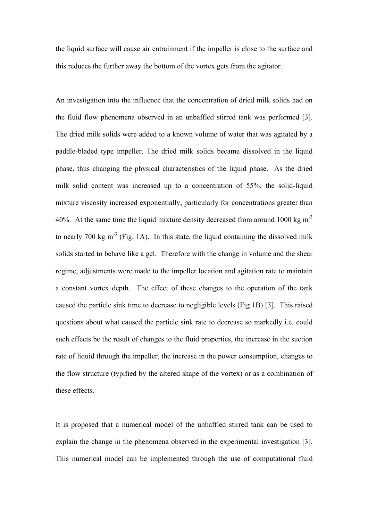the liquid surface will cause air entrainment if the impeller is close to the surface and this reduces the further away the bottom of the vortex gets from the agitator.

An investigation into the influence that the concentration of dried milk solids had on the fluid flow phenomena observed in an unbaffled stirred tank was performed [3]. The dried milk solids were added to a known volume of water that was agitated by a paddle-bladed type impeller. The dried milk solids became dissolved in the liquid phase, thus changing the physical characteristics of the liquid phase. As the dried milk solid content was increased up to a concentration of 55%, the solid-liquid mixture viscosity increased exponentially, particularly for concentrations greater than 40%. At the same time the liquid mixture density decreased from around 1000 kg  $m<sup>-3</sup>$ to nearly 700 kg  $m<sup>-3</sup>$  (Fig. 1A). In this state, the liquid containing the dissolved milk solids started to behave like a gel. Therefore with the change in volume and the shear regime, adjustments were made to the impeller location and agitation rate to maintain a constant vortex depth. The effect of these changes to the operation of the tank caused the particle sink time to decrease to negligible levels (Fig 1B) [3]. This raised questions about what caused the particle sink rate to decrease so markedly i.e. could such effects be the result of changes to the fluid properties, the increase in the suction rate of liquid through the impeller, the increase in the power consumption, changes to the flow structure (typified by the altered shape of the vortex) or as a combination of these effects.

It is proposed that a numerical model of the unbaffled stirred tank can be used to explain the change in the phenomena observed in the experimental investigation [3]. This numerical model can be implemented through the use of computational fluid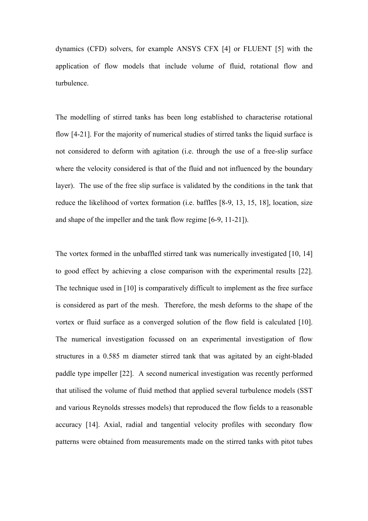dynamics (CFD) solvers, for example ANSYS CFX [4] or FLUENT [5] with the application of flow models that include volume of fluid, rotational flow and turbulence.

The modelling of stirred tanks has been long established to characterise rotational flow [4-21]. For the majority of numerical studies of stirred tanks the liquid surface is not considered to deform with agitation (i.e. through the use of a free-slip surface where the velocity considered is that of the fluid and not influenced by the boundary layer). The use of the free slip surface is validated by the conditions in the tank that reduce the likelihood of vortex formation (i.e. baffles [8-9, 13, 15, 18], location, size and shape of the impeller and the tank flow regime [6-9, 11-21]).

The vortex formed in the unbaffled stirred tank was numerically investigated [10, 14] to good effect by achieving a close comparison with the experimental results [22]. The technique used in [10] is comparatively difficult to implement as the free surface is considered as part of the mesh. Therefore, the mesh deforms to the shape of the vortex or fluid surface as a converged solution of the flow field is calculated [10]. The numerical investigation focussed on an experimental investigation of flow structures in a 0.585 m diameter stirred tank that was agitated by an eight-bladed paddle type impeller [22]. A second numerical investigation was recently performed that utilised the volume of fluid method that applied several turbulence models (SST and various Reynolds stresses models) that reproduced the flow fields to a reasonable accuracy [14]. Axial, radial and tangential velocity profiles with secondary flow patterns were obtained from measurements made on the stirred tanks with pitot tubes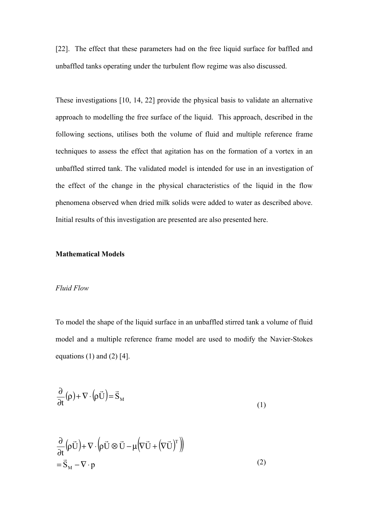[22]. The effect that these parameters had on the free liquid surface for baffled and unbaffled tanks operating under the turbulent flow regime was also discussed.

These investigations [10, 14, 22] provide the physical basis to validate an alternative approach to modelling the free surface of the liquid. This approach, described in the following sections, utilises both the volume of fluid and multiple reference frame techniques to assess the effect that agitation has on the formation of a vortex in an unbaffled stirred tank. The validated model is intended for use in an investigation of the effect of the change in the physical characteristics of the liquid in the flow phenomena observed when dried milk solids were added to water as described above. Initial results of this investigation are presented are also presented here.

# **Mathematical Models**

## *Fluid Flow*

To model the shape of the liquid surface in an unbaffled stirred tank a volume of fluid model and a multiple reference frame model are used to modify the Navier-Stokes equations  $(1)$  and  $(2)$  [4].

$$
\frac{\partial}{\partial t}(\rho) + \nabla \cdot (\rho \vec{U}) = \vec{S}_{M}
$$
\n(1)

$$
\frac{\partial}{\partial t} (\rho \vec{U}) + \nabla \cdot (\rho \vec{U} \otimes \vec{U} - \mu (\nabla \vec{U} + (\nabla \vec{U})^T))
$$
\n
$$
= \vec{S}_M - \nabla \cdot p
$$
\n(2)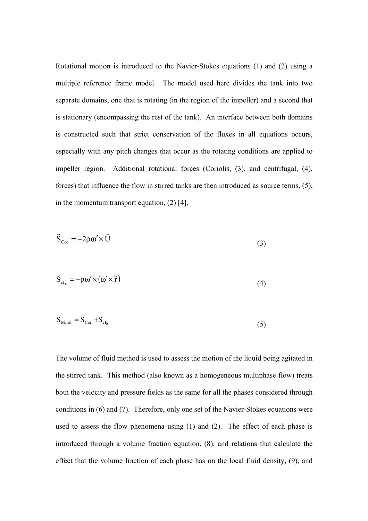Rotational motion is introduced to the Navier-Stokes equations (1) and (2) using a multiple reference frame model. The model used here divides the tank into two separate domains, one that is rotating (in the region of the impeller) and a second that is stationary (encompassing the rest of the tank). An interface between both domains is constructed such that strict conservation of the fluxes in all equations occurs, especially with any pitch changes that occur as the rotating conditions are applied to impeller region. Additional rotational forces (Coriolis, (3), and centrifugal, (4), forces) that influence the flow in stirred tanks are then introduced as source terms, (5), in the momentum transport equation, (2) [4].

$$
\vec{S}_{Cor} = -2\rho \omega' \times \vec{U}
$$
 (3)

$$
\vec{S}_{\text{cfg}} = -\rho \omega' \times (\omega' \times \vec{r}) \tag{4}
$$

$$
\vec{S}_{M,rot} = \vec{S}_{Cor} + \vec{S}_{cfg}
$$
 (5)

The volume of fluid method is used to assess the motion of the liquid being agitated in the stirred tank. This method (also known as a homogeneous multiphase flow) treats both the velocity and pressure fields as the same for all the phases considered through conditions in (6) and (7). Therefore, only one set of the Navier-Stokes equations were used to assess the flow phenomena using (1) and (2). The effect of each phase is introduced through a volume fraction equation, (8), and relations that calculate the effect that the volume fraction of each phase has on the local fluid density, (9), and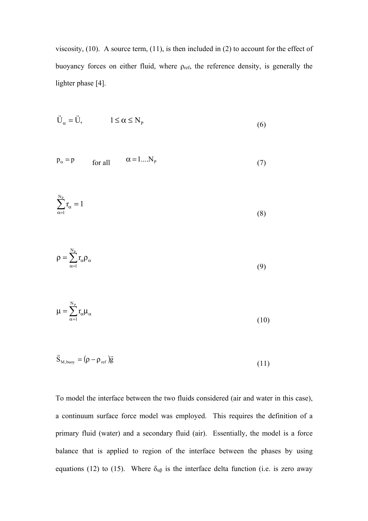viscosity,  $(10)$ . A source term,  $(11)$ , is then included in  $(2)$  to account for the effect of buoyancy forces on either fluid, where  $\rho_{\text{ref}}$ , the reference density, is generally the lighter phase [4].

$$
\vec{U}_{\alpha} = \vec{U}, \qquad 1 \le \alpha \le N_{P}
$$
\n(6)

$$
p_{\alpha} = p \qquad \text{for all} \qquad \alpha = 1...N_{p} \tag{7}
$$

$$
\sum_{\alpha=1}^{N_P} r_{\alpha} = 1 \tag{8}
$$

$$
\rho = \sum_{\alpha=1}^{N_{\rm p}} r_{\alpha} \rho_{\alpha} \tag{9}
$$

$$
\mu = \sum_{\alpha=1}^{N_P} r_{\alpha} \mu_{\alpha} \tag{10}
$$

$$
\vec{S}_{M,buoy} = (\rho - \rho_{ref})\vec{g}
$$
\n(11)

To model the interface between the two fluids considered (air and water in this case), a continuum surface force model was employed. This requires the definition of a primary fluid (water) and a secondary fluid (air). Essentially, the model is a force balance that is applied to region of the interface between the phases by using equations (12) to (15). Where  $\delta_{\alpha\beta}$  is the interface delta function (i.e. is zero away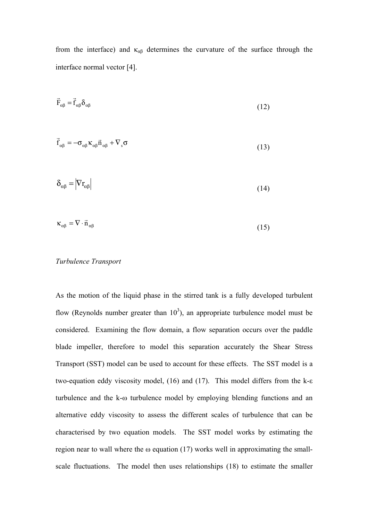from the interface) and  $\kappa_{\alpha\beta}$  determines the curvature of the surface through the interface normal vector [4].

$$
\vec{F}_{\alpha\beta} = \vec{f}_{\alpha\beta} \delta_{\alpha\beta} \tag{12}
$$

$$
\vec{f}_{\alpha\beta} = -\sigma_{\alpha\beta} \kappa_{\alpha\beta} \vec{n}_{\alpha\beta} + \nabla_s \sigma
$$
\n(13)

$$
\delta_{\alpha\beta} = |\nabla r_{\alpha\beta}| \tag{14}
$$

$$
\kappa_{\alpha\beta} = \nabla \cdot \vec{n}_{\alpha\beta} \tag{15}
$$

# *Turbulence Transport*

As the motion of the liquid phase in the stirred tank is a fully developed turbulent flow (Reynolds number greater than  $10<sup>3</sup>$ ), an appropriate turbulence model must be considered. Examining the flow domain, a flow separation occurs over the paddle blade impeller, therefore to model this separation accurately the Shear Stress Transport (SST) model can be used to account for these effects. The SST model is a two-equation eddy viscosity model, (16) and (17). This model differs from the k-ε turbulence and the k-ω turbulence model by employing blending functions and an alternative eddy viscosity to assess the different scales of turbulence that can be characterised by two equation models. The SST model works by estimating the region near to wall where the  $\omega$  equation (17) works well in approximating the smallscale fluctuations. The model then uses relationships (18) to estimate the smaller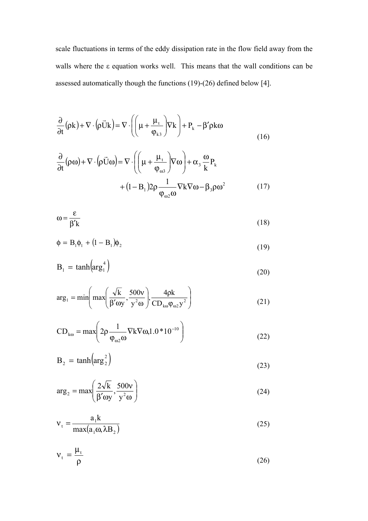scale fluctuations in terms of the eddy dissipation rate in the flow field away from the walls where the ε equation works well. This means that the wall conditions can be assessed automatically though the functions (19)-(26) defined below [4].

$$
\frac{\partial}{\partial t}(\rho k) + \nabla \cdot (\rho \vec{U} k) = \nabla \cdot \left( \left( \mu + \frac{\mu_t}{\phi_{k3}} \right) \nabla k \right) + P_k - \beta' \rho k \omega \tag{16}
$$

$$
\frac{\partial}{\partial t}(\rho\omega) + \nabla \cdot (\rho \vec{U}\omega) = \nabla \cdot \left( \left( \mu + \frac{\mu_t}{\phi_{\omega 3}} \right) \nabla \omega \right) + \alpha_3 \frac{\omega}{k} P_k
$$

$$
+ (1 - B_1) 2\rho \frac{1}{\phi_{\omega 2} \omega} \nabla k \nabla \omega - \beta_3 \rho \omega^2 \tag{17}
$$

$$
\omega = \frac{\varepsilon}{\beta' k} \tag{18}
$$

$$
\Phi = \mathbf{B}_1 \Phi_1 + (1 - \mathbf{B}_1) \Phi_2 \tag{19}
$$

$$
B_1 = \tanh\left(\arg_1^4\right) \tag{20}
$$

$$
\arg_{1} = \min\left(\max\left(\frac{\sqrt{k}}{\beta' \omega y}, \frac{500v}{y^{2} \omega}\right), \frac{4\rho k}{CD_{k\omega}\phi_{\omega 2}y^{2}}\right)
$$
(21)

$$
CD_{k\omega} = \max\left(2\rho \frac{1}{\phi_{\omega 2}\omega} \nabla k \nabla \omega 1.0 * 10^{-10}\right)
$$
 (22)

$$
B_2 = \tanh\left(\arg_2^2\right) \tag{23}
$$

$$
\arg_2 = \max\left(\frac{2\sqrt{k}}{\beta' \omega y}, \frac{500v}{y^2 \omega}\right)
$$
 (24)

$$
v_t = \frac{a_1 k}{\max(a_1 \omega, \lambda B_2)}
$$
 (25)

$$
v_t = \frac{\mu_t}{\rho} \tag{26}
$$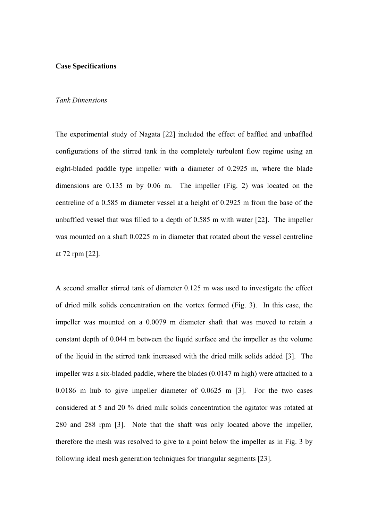#### **Case Specifications**

## *Tank Dimensions*

The experimental study of Nagata [22] included the effect of baffled and unbaffled configurations of the stirred tank in the completely turbulent flow regime using an eight-bladed paddle type impeller with a diameter of 0.2925 m, where the blade dimensions are 0.135 m by 0.06 m. The impeller (Fig. 2) was located on the centreline of a 0.585 m diameter vessel at a height of 0.2925 m from the base of the unbaffled vessel that was filled to a depth of 0.585 m with water [22]. The impeller was mounted on a shaft 0.0225 m in diameter that rotated about the vessel centreline at 72 rpm [22].

A second smaller stirred tank of diameter 0.125 m was used to investigate the effect of dried milk solids concentration on the vortex formed (Fig. 3). In this case, the impeller was mounted on a 0.0079 m diameter shaft that was moved to retain a constant depth of 0.044 m between the liquid surface and the impeller as the volume of the liquid in the stirred tank increased with the dried milk solids added [3]. The impeller was a six-bladed paddle, where the blades (0.0147 m high) were attached to a 0.0186 m hub to give impeller diameter of 0.0625 m [3]. For the two cases considered at 5 and 20 % dried milk solids concentration the agitator was rotated at 280 and 288 rpm [3]. Note that the shaft was only located above the impeller, therefore the mesh was resolved to give to a point below the impeller as in Fig. 3 by following ideal mesh generation techniques for triangular segments [23].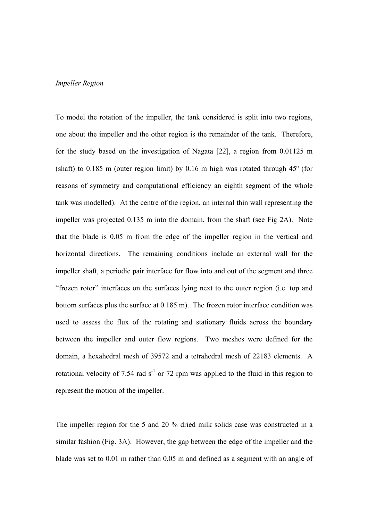# *Impeller Region*

To model the rotation of the impeller, the tank considered is split into two regions, one about the impeller and the other region is the remainder of the tank. Therefore, for the study based on the investigation of Nagata [22], a region from 0.01125 m (shaft) to  $0.185$  m (outer region limit) by  $0.16$  m high was rotated through  $45^\circ$  (for reasons of symmetry and computational efficiency an eighth segment of the whole tank was modelled). At the centre of the region, an internal thin wall representing the impeller was projected 0.135 m into the domain, from the shaft (see Fig 2A). Note that the blade is 0.05 m from the edge of the impeller region in the vertical and horizontal directions. The remaining conditions include an external wall for the impeller shaft, a periodic pair interface for flow into and out of the segment and three "frozen rotor" interfaces on the surfaces lying next to the outer region (i.e. top and bottom surfaces plus the surface at 0.185 m). The frozen rotor interface condition was used to assess the flux of the rotating and stationary fluids across the boundary between the impeller and outer flow regions. Two meshes were defined for the domain, a hexahedral mesh of 39572 and a tetrahedral mesh of 22183 elements. A rotational velocity of 7.54 rad  $s^{-1}$  or 72 rpm was applied to the fluid in this region to represent the motion of the impeller.

The impeller region for the 5 and 20 % dried milk solids case was constructed in a similar fashion (Fig. 3A). However, the gap between the edge of the impeller and the blade was set to 0.01 m rather than 0.05 m and defined as a segment with an angle of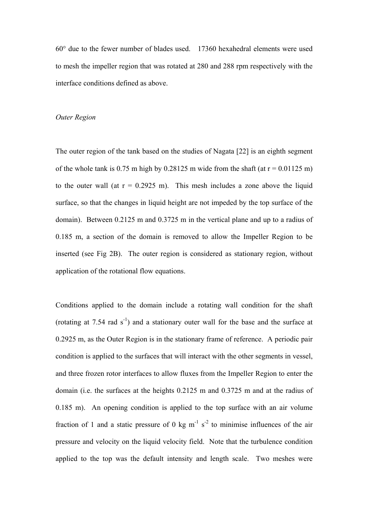60° due to the fewer number of blades used. 17360 hexahedral elements were used to mesh the impeller region that was rotated at 280 and 288 rpm respectively with the interface conditions defined as above.

#### *Outer Region*

The outer region of the tank based on the studies of Nagata [22] is an eighth segment of the whole tank is 0.75 m high by 0.28125 m wide from the shaft (at  $r = 0.01125$  m) to the outer wall (at  $r = 0.2925$  m). This mesh includes a zone above the liquid surface, so that the changes in liquid height are not impeded by the top surface of the domain). Between 0.2125 m and 0.3725 m in the vertical plane and up to a radius of 0.185 m, a section of the domain is removed to allow the Impeller Region to be inserted (see Fig 2B). The outer region is considered as stationary region, without application of the rotational flow equations.

Conditions applied to the domain include a rotating wall condition for the shaft (rotating at 7.54 rad  $s^{-1}$ ) and a stationary outer wall for the base and the surface at 0.2925 m, as the Outer Region is in the stationary frame of reference. A periodic pair condition is applied to the surfaces that will interact with the other segments in vessel, and three frozen rotor interfaces to allow fluxes from the Impeller Region to enter the domain (i.e. the surfaces at the heights 0.2125 m and 0.3725 m and at the radius of 0.185 m). An opening condition is applied to the top surface with an air volume fraction of 1 and a static pressure of 0 kg m<sup>-1</sup> s<sup>-2</sup> to minimise influences of the air pressure and velocity on the liquid velocity field. Note that the turbulence condition applied to the top was the default intensity and length scale. Two meshes were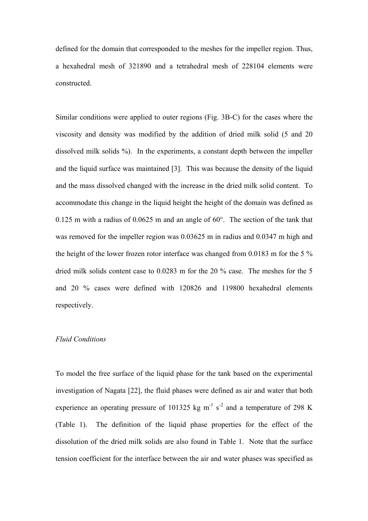defined for the domain that corresponded to the meshes for the impeller region. Thus, a hexahedral mesh of 321890 and a tetrahedral mesh of 228104 elements were constructed.

Similar conditions were applied to outer regions (Fig. 3B-C) for the cases where the viscosity and density was modified by the addition of dried milk solid (5 and 20 dissolved milk solids %). In the experiments, a constant depth between the impeller and the liquid surface was maintained [3]. This was because the density of the liquid and the mass dissolved changed with the increase in the dried milk solid content. To accommodate this change in the liquid height the height of the domain was defined as 0.125 m with a radius of 0.0625 m and an angle of 60°. The section of the tank that was removed for the impeller region was 0.03625 m in radius and 0.0347 m high and the height of the lower frozen rotor interface was changed from 0.0183 m for the 5 % dried milk solids content case to 0.0283 m for the 20 % case. The meshes for the 5 and 20 % cases were defined with 120826 and 119800 hexahedral elements respectively.

#### *Fluid Conditions*

To model the free surface of the liquid phase for the tank based on the experimental investigation of Nagata [22], the fluid phases were defined as air and water that both experience an operating pressure of 101325 kg  $m^{-1}$  s<sup>-2</sup> and a temperature of 298 K (Table 1). The definition of the liquid phase properties for the effect of the dissolution of the dried milk solids are also found in Table 1. Note that the surface tension coefficient for the interface between the air and water phases was specified as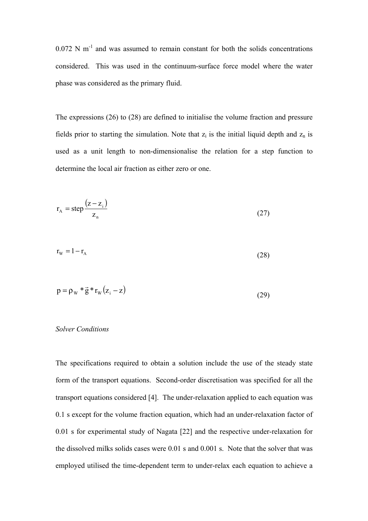$0.072$  N m<sup>-1</sup> and was assumed to remain constant for both the solids concentrations considered. This was used in the continuum-surface force model where the water phase was considered as the primary fluid.

The expressions (26) to (28) are defined to initialise the volume fraction and pressure fields prior to starting the simulation. Note that  $z_i$  is the initial liquid depth and  $z_n$  is used as a unit length to non-dimensionalise the relation for a step function to determine the local air fraction as either zero or one.

$$
r_{A} = step \frac{(z - z_{i})}{z_{n}}
$$
 (27)

$$
r_{\rm w} = 1 - r_{\rm A} \tag{28}
$$

$$
p = \rho_w * \vec{g} * r_w (z_i - z) \tag{29}
$$

# *Solver Conditions*

The specifications required to obtain a solution include the use of the steady state form of the transport equations. Second-order discretisation was specified for all the transport equations considered [4]. The under-relaxation applied to each equation was 0.1 s except for the volume fraction equation, which had an under-relaxation factor of 0.01 s for experimental study of Nagata [22] and the respective under-relaxation for the dissolved milks solids cases were 0.01 s and 0.001 s. Note that the solver that was employed utilised the time-dependent term to under-relax each equation to achieve a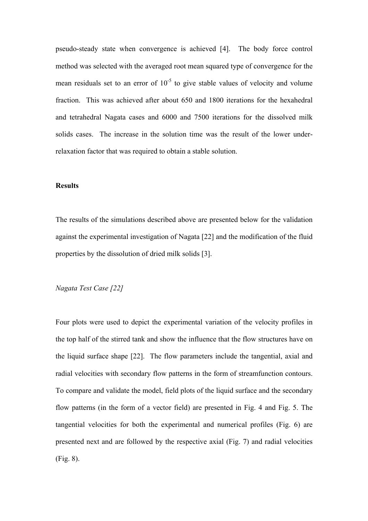pseudo-steady state when convergence is achieved [4]. The body force control method was selected with the averaged root mean squared type of convergence for the mean residuals set to an error of  $10^{-5}$  to give stable values of velocity and volume fraction. This was achieved after about 650 and 1800 iterations for the hexahedral and tetrahedral Nagata cases and 6000 and 7500 iterations for the dissolved milk solids cases. The increase in the solution time was the result of the lower underrelaxation factor that was required to obtain a stable solution.

# **Results**

The results of the simulations described above are presented below for the validation against the experimental investigation of Nagata [22] and the modification of the fluid properties by the dissolution of dried milk solids [3].

# *Nagata Test Case [22]*

Four plots were used to depict the experimental variation of the velocity profiles in the top half of the stirred tank and show the influence that the flow structures have on the liquid surface shape [22]. The flow parameters include the tangential, axial and radial velocities with secondary flow patterns in the form of streamfunction contours. To compare and validate the model, field plots of the liquid surface and the secondary flow patterns (in the form of a vector field) are presented in Fig. 4 and Fig. 5. The tangential velocities for both the experimental and numerical profiles (Fig. 6) are presented next and are followed by the respective axial (Fig. 7) and radial velocities (Fig. 8).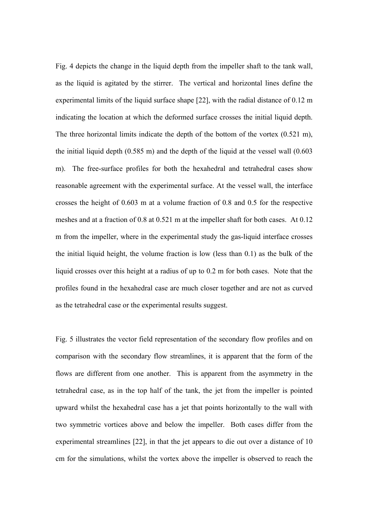Fig. 4 depicts the change in the liquid depth from the impeller shaft to the tank wall, as the liquid is agitated by the stirrer. The vertical and horizontal lines define the experimental limits of the liquid surface shape [22], with the radial distance of 0.12 m indicating the location at which the deformed surface crosses the initial liquid depth. The three horizontal limits indicate the depth of the bottom of the vortex (0.521 m), the initial liquid depth (0.585 m) and the depth of the liquid at the vessel wall (0.603 m). The free-surface profiles for both the hexahedral and tetrahedral cases show reasonable agreement with the experimental surface. At the vessel wall, the interface crosses the height of 0.603 m at a volume fraction of 0.8 and 0.5 for the respective meshes and at a fraction of 0.8 at 0.521 m at the impeller shaft for both cases. At 0.12 m from the impeller, where in the experimental study the gas-liquid interface crosses the initial liquid height, the volume fraction is low (less than 0.1) as the bulk of the liquid crosses over this height at a radius of up to 0.2 m for both cases. Note that the profiles found in the hexahedral case are much closer together and are not as curved as the tetrahedral case or the experimental results suggest.

Fig. 5 illustrates the vector field representation of the secondary flow profiles and on comparison with the secondary flow streamlines, it is apparent that the form of the flows are different from one another. This is apparent from the asymmetry in the tetrahedral case, as in the top half of the tank, the jet from the impeller is pointed upward whilst the hexahedral case has a jet that points horizontally to the wall with two symmetric vortices above and below the impeller. Both cases differ from the experimental streamlines [22], in that the jet appears to die out over a distance of 10 cm for the simulations, whilst the vortex above the impeller is observed to reach the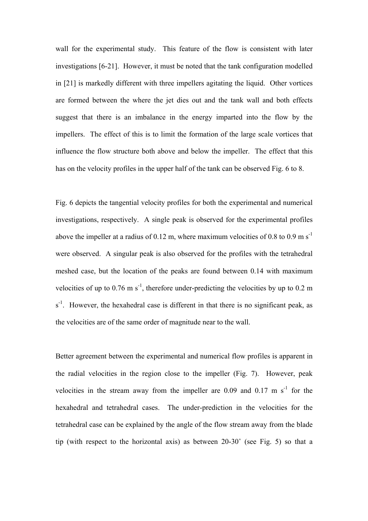wall for the experimental study. This feature of the flow is consistent with later investigations [6-21]. However, it must be noted that the tank configuration modelled in [21] is markedly different with three impellers agitating the liquid. Other vortices are formed between the where the jet dies out and the tank wall and both effects suggest that there is an imbalance in the energy imparted into the flow by the impellers. The effect of this is to limit the formation of the large scale vortices that influence the flow structure both above and below the impeller. The effect that this has on the velocity profiles in the upper half of the tank can be observed Fig. 6 to 8.

Fig. 6 depicts the tangential velocity profiles for both the experimental and numerical investigations, respectively. A single peak is observed for the experimental profiles above the impeller at a radius of 0.12 m, where maximum velocities of 0.8 to 0.9 m s<sup>-1</sup> were observed. A singular peak is also observed for the profiles with the tetrahedral meshed case, but the location of the peaks are found between 0.14 with maximum velocities of up to 0.76 m s<sup>-1</sup>, therefore under-predicting the velocities by up to 0.2 m  $s<sup>-1</sup>$ . However, the hexahedral case is different in that there is no significant peak, as the velocities are of the same order of magnitude near to the wall.

Better agreement between the experimental and numerical flow profiles is apparent in the radial velocities in the region close to the impeller (Fig. 7). However, peak velocities in the stream away from the impeller are 0.09 and 0.17 m  $s^{-1}$  for the hexahedral and tetrahedral cases. The under-prediction in the velocities for the tetrahedral case can be explained by the angle of the flow stream away from the blade tip (with respect to the horizontal axis) as between 20-30˚ (see Fig. 5) so that a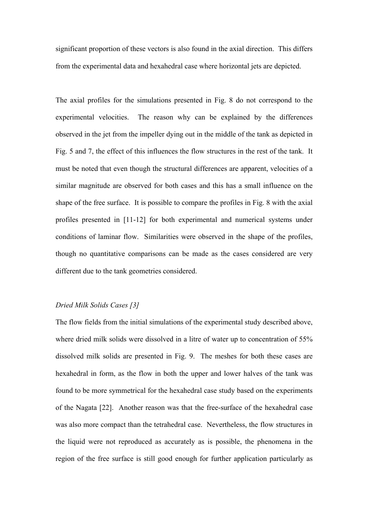significant proportion of these vectors is also found in the axial direction. This differs from the experimental data and hexahedral case where horizontal jets are depicted.

The axial profiles for the simulations presented in Fig. 8 do not correspond to the experimental velocities. The reason why can be explained by the differences observed in the jet from the impeller dying out in the middle of the tank as depicted in Fig. 5 and 7, the effect of this influences the flow structures in the rest of the tank. It must be noted that even though the structural differences are apparent, velocities of a similar magnitude are observed for both cases and this has a small influence on the shape of the free surface. It is possible to compare the profiles in Fig. 8 with the axial profiles presented in [11-12] for both experimental and numerical systems under conditions of laminar flow. Similarities were observed in the shape of the profiles, though no quantitative comparisons can be made as the cases considered are very different due to the tank geometries considered.

# *Dried Milk Solids Cases [3]*

The flow fields from the initial simulations of the experimental study described above, where dried milk solids were dissolved in a litre of water up to concentration of 55% dissolved milk solids are presented in Fig. 9. The meshes for both these cases are hexahedral in form, as the flow in both the upper and lower halves of the tank was found to be more symmetrical for the hexahedral case study based on the experiments of the Nagata [22]. Another reason was that the free-surface of the hexahedral case was also more compact than the tetrahedral case. Nevertheless, the flow structures in the liquid were not reproduced as accurately as is possible, the phenomena in the region of the free surface is still good enough for further application particularly as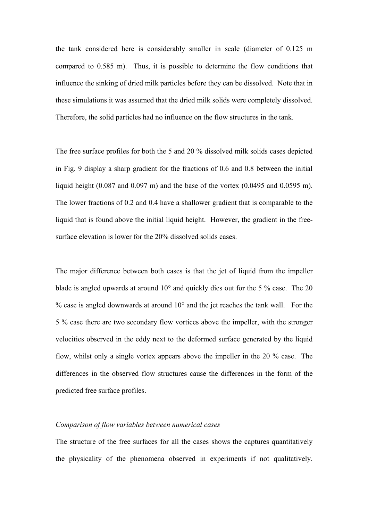the tank considered here is considerably smaller in scale (diameter of 0.125 m compared to 0.585 m). Thus, it is possible to determine the flow conditions that influence the sinking of dried milk particles before they can be dissolved. Note that in these simulations it was assumed that the dried milk solids were completely dissolved. Therefore, the solid particles had no influence on the flow structures in the tank.

The free surface profiles for both the 5 and 20 % dissolved milk solids cases depicted in Fig. 9 display a sharp gradient for the fractions of 0.6 and 0.8 between the initial liquid height (0.087 and 0.097 m) and the base of the vortex (0.0495 and 0.0595 m). The lower fractions of 0.2 and 0.4 have a shallower gradient that is comparable to the liquid that is found above the initial liquid height. However, the gradient in the freesurface elevation is lower for the 20% dissolved solids cases.

The major difference between both cases is that the jet of liquid from the impeller blade is angled upwards at around 10° and quickly dies out for the 5 % case. The 20 % case is angled downwards at around 10° and the jet reaches the tank wall. For the 5 % case there are two secondary flow vortices above the impeller, with the stronger velocities observed in the eddy next to the deformed surface generated by the liquid flow, whilst only a single vortex appears above the impeller in the 20 % case. The differences in the observed flow structures cause the differences in the form of the predicted free surface profiles.

# *Comparison of flow variables between numerical cases*

The structure of the free surfaces for all the cases shows the captures quantitatively the physicality of the phenomena observed in experiments if not qualitatively.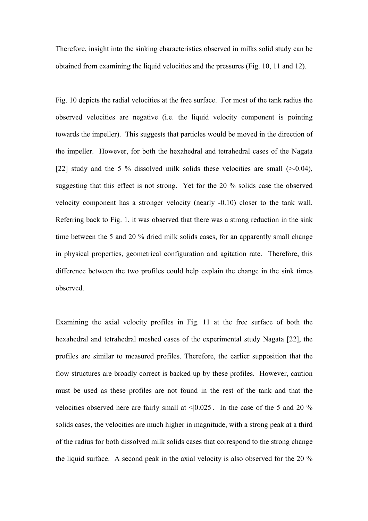Therefore, insight into the sinking characteristics observed in milks solid study can be obtained from examining the liquid velocities and the pressures (Fig. 10, 11 and 12).

Fig. 10 depicts the radial velocities at the free surface. For most of the tank radius the observed velocities are negative (i.e. the liquid velocity component is pointing towards the impeller). This suggests that particles would be moved in the direction of the impeller. However, for both the hexahedral and tetrahedral cases of the Nagata [22] study and the 5 % dissolved milk solids these velocities are small  $(>=0.04)$ , suggesting that this effect is not strong. Yet for the 20 % solids case the observed velocity component has a stronger velocity (nearly -0.10) closer to the tank wall. Referring back to Fig. 1, it was observed that there was a strong reduction in the sink time between the 5 and 20 % dried milk solids cases, for an apparently small change in physical properties, geometrical configuration and agitation rate. Therefore, this difference between the two profiles could help explain the change in the sink times observed.

Examining the axial velocity profiles in Fig. 11 at the free surface of both the hexahedral and tetrahedral meshed cases of the experimental study Nagata [22], the profiles are similar to measured profiles. Therefore, the earlier supposition that the flow structures are broadly correct is backed up by these profiles. However, caution must be used as these profiles are not found in the rest of the tank and that the velocities observed here are fairly small at <|0.025|. In the case of the 5 and 20 % solids cases, the velocities are much higher in magnitude, with a strong peak at a third of the radius for both dissolved milk solids cases that correspond to the strong change the liquid surface. A second peak in the axial velocity is also observed for the 20 %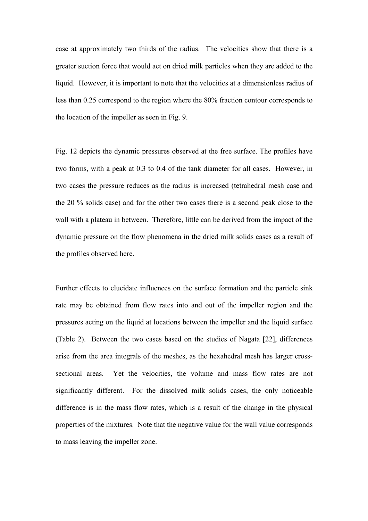case at approximately two thirds of the radius. The velocities show that there is a greater suction force that would act on dried milk particles when they are added to the liquid. However, it is important to note that the velocities at a dimensionless radius of less than 0.25 correspond to the region where the 80% fraction contour corresponds to the location of the impeller as seen in Fig. 9.

Fig. 12 depicts the dynamic pressures observed at the free surface. The profiles have two forms, with a peak at 0.3 to 0.4 of the tank diameter for all cases. However, in two cases the pressure reduces as the radius is increased (tetrahedral mesh case and the 20 % solids case) and for the other two cases there is a second peak close to the wall with a plateau in between. Therefore, little can be derived from the impact of the dynamic pressure on the flow phenomena in the dried milk solids cases as a result of the profiles observed here.

Further effects to elucidate influences on the surface formation and the particle sink rate may be obtained from flow rates into and out of the impeller region and the pressures acting on the liquid at locations between the impeller and the liquid surface (Table 2). Between the two cases based on the studies of Nagata [22], differences arise from the area integrals of the meshes, as the hexahedral mesh has larger crosssectional areas. Yet the velocities, the volume and mass flow rates are not significantly different. For the dissolved milk solids cases, the only noticeable difference is in the mass flow rates, which is a result of the change in the physical properties of the mixtures. Note that the negative value for the wall value corresponds to mass leaving the impeller zone.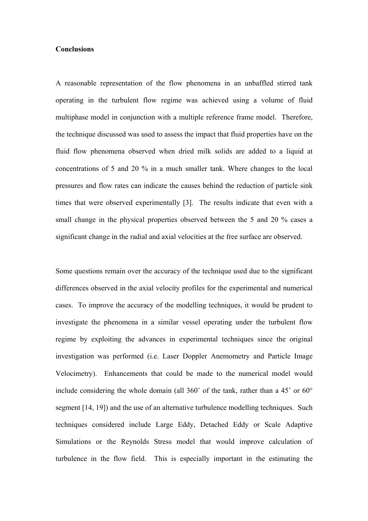# **Conclusions**

A reasonable representation of the flow phenomena in an unbaffled stirred tank operating in the turbulent flow regime was achieved using a volume of fluid multiphase model in conjunction with a multiple reference frame model. Therefore, the technique discussed was used to assess the impact that fluid properties have on the fluid flow phenomena observed when dried milk solids are added to a liquid at concentrations of 5 and 20 % in a much smaller tank. Where changes to the local pressures and flow rates can indicate the causes behind the reduction of particle sink times that were observed experimentally [3]. The results indicate that even with a small change in the physical properties observed between the 5 and 20 % cases a significant change in the radial and axial velocities at the free surface are observed.

Some questions remain over the accuracy of the technique used due to the significant differences observed in the axial velocity profiles for the experimental and numerical cases. To improve the accuracy of the modelling techniques, it would be prudent to investigate the phenomena in a similar vessel operating under the turbulent flow regime by exploiting the advances in experimental techniques since the original investigation was performed (i.e. Laser Doppler Anemometry and Particle Image Velocimetry). Enhancements that could be made to the numerical model would include considering the whole domain (all 360˚ of the tank, rather than a 45˚ or 60° segment [14, 19]) and the use of an alternative turbulence modelling techniques. Such techniques considered include Large Eddy, Detached Eddy or Scale Adaptive Simulations or the Reynolds Stress model that would improve calculation of turbulence in the flow field. This is especially important in the estimating the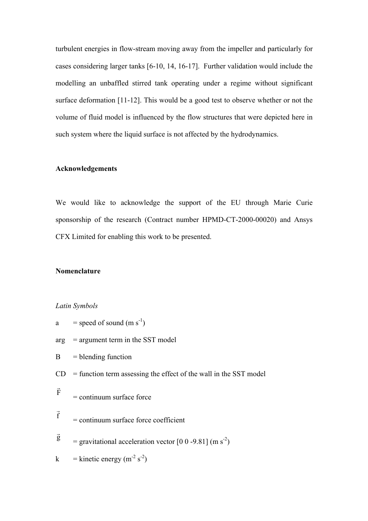turbulent energies in flow-stream moving away from the impeller and particularly for cases considering larger tanks [6-10, 14, 16-17]. Further validation would include the modelling an unbaffled stirred tank operating under a regime without significant surface deformation [11-12]. This would be a good test to observe whether or not the volume of fluid model is influenced by the flow structures that were depicted here in such system where the liquid surface is not affected by the hydrodynamics.

# **Acknowledgements**

We would like to acknowledge the support of the EU through Marie Curie sponsorship of the research (Contract number HPMD-CT-2000-00020) and Ansys CFX Limited for enabling this work to be presented.

# **Nomenclature**

# *Latin Symbols*

a = speed of sound  $(m s<sup>-1</sup>)$  $arg = argument term in the SST model$  $B = \text{blending function}$  $CD =$  function term assessing the effect of the wall in the SST model F r  $=$  continuum surface force f  $\vec{r}$  $=$  continuum surface force coefficient g r  $=$  gravitational acceleration vector [0 0 -9.81] (m s<sup>-2</sup>) k = kinetic energy  $(m<sup>-2</sup> s<sup>-2</sup>)$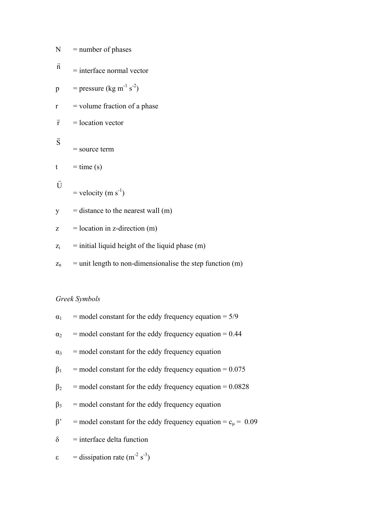| N              | $=$ number of phases                                        |
|----------------|-------------------------------------------------------------|
| $\vec{\rm n}$  | $=$ interface normal vector                                 |
| p              | = pressure (kg m <sup>-1</sup> s <sup>-2</sup> )            |
| $\mathbf{r}$   | $=$ volume fraction of a phase                              |
| $\vec{r}$      | $=$ location vector                                         |
| $\vec{S}$      | $=$ source term                                             |
| t              | $=$ time (s)                                                |
| Ū              | $=$ velocity (m s <sup>-1</sup> )                           |
| y              | $=$ distance to the nearest wall $(m)$                      |
| Z              | $=$ location in z-direction (m)                             |
| $\mathbf{Z}_i$ | $=$ initial liquid height of the liquid phase $(m)$         |
| $Z_{n}$        | $=$ unit length to non-dimensionalise the step function (m) |
|                |                                                             |

# *Greek Symbols*

| $\alpha_1$ | $=$ model constant for the eddy frequency equation $= 5/9$          |
|------------|---------------------------------------------------------------------|
| $\alpha_2$ | $=$ model constant for the eddy frequency equation $= 0.44$         |
|            | $\alpha_3$ = model constant for the eddy frequency equation         |
| $\beta_1$  | $=$ model constant for the eddy frequency equation $= 0.075$        |
| $\beta_2$  | $=$ model constant for the eddy frequency equation $= 0.0828$       |
| $\beta_3$  | $=$ model constant for the eddy frequency equation                  |
| $\beta$ '  | = model constant for the eddy frequency equation = $c_u$ = 0.09     |
| $\delta$   | $=$ interface delta function                                        |
|            | $\varepsilon$ = dissipation rate (m <sup>-2</sup> s <sup>-3</sup> ) |
|            |                                                                     |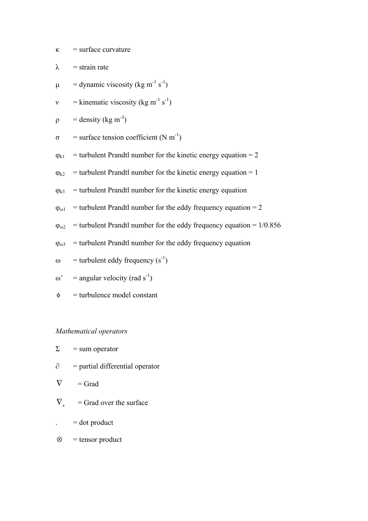$\kappa$  = surface curvature

 $\lambda$  = strain rate

- $\mu$  = dynamic viscosity (kg m<sup>-1</sup> s<sup>-1</sup>)
- v = kinematic viscosity (kg m<sup>-1</sup> s<sup>-1</sup>)
- $\rho$  = density (kg m<sup>-3</sup>)
- $\sigma$  = surface tension coefficient (N m<sup>-1</sup>)
- $\varphi_{k1}$  = turbulent Prandtl number for the kinetic energy equation = 2
- $\varphi_{k2}$  = turbulent Prandtl number for the kinetic energy equation = 1
- $\varphi_{k3}$  = turbulent Prandtl number for the kinetic energy equation
- $\varphi_{01}$  = turbulent Prandtl number for the eddy frequency equation = 2
- $\varphi_{02}$  = turbulent Prandtl number for the eddy frequency equation = 1/0.856
- $\varphi_{03}$  = turbulent Prandtl number for the eddy frequency equation
- ω = turbulent eddy frequency  $(s^{-1})$
- ω' = angular velocity (rad s<sup>-1</sup>)
- $\phi$  = turbulence model constant

# *Mathematical operators*

| L | $=$ sum operator |
|---|------------------|
|---|------------------|

- $\partial$  = partial differential operator
- $\nabla$  = Grad
- $\nabla$ <sub>s</sub> = Grad over the surface
- $=$  dot product
- $\otimes$  = tensor product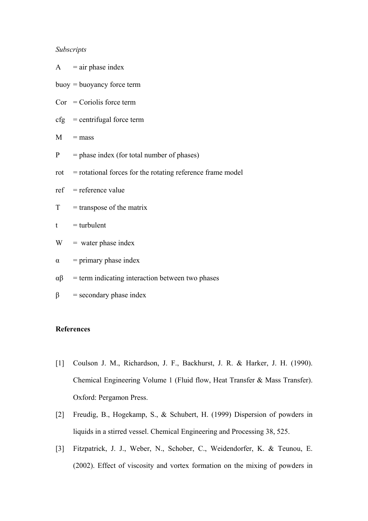## *Subscripts*

|               | $A = air phase index$                                            |
|---------------|------------------------------------------------------------------|
|               | $buoy = buoyancy force term$                                     |
|               | $Cor = Coriolis force term$                                      |
|               | $\text{cfg}$ = centrifugal force term                            |
|               | $M = mass$                                                       |
| $\mathbf{P}$  | $=$ phase index (for total number of phases)                     |
|               | $rot$ = rotational forces for the rotating reference frame model |
|               | $ref = reference value$                                          |
|               | $T = \text{transpose of the matrix}$                             |
| t             | $=$ turbulent                                                    |
| W             | $=$ water phase index                                            |
| α             | $=$ primary phase index                                          |
| $\alpha\beta$ | $=$ term indicating interaction between two phases               |
| β             | $=$ secondary phase index                                        |

# **References**

- [1] Coulson J. M., Richardson, J. F., Backhurst, J. R. & Harker, J. H. (1990). Chemical Engineering Volume 1 (Fluid flow, Heat Transfer & Mass Transfer). Oxford: Pergamon Press.
- [2] Freudig, B., Hogekamp, S., & Schubert, H. (1999) Dispersion of powders in liquids in a stirred vessel. Chemical Engineering and Processing 38, 525.
- [3] Fitzpatrick, J. J., Weber, N., Schober, C., Weidendorfer, K. & Teunou, E. (2002). Effect of viscosity and vortex formation on the mixing of powders in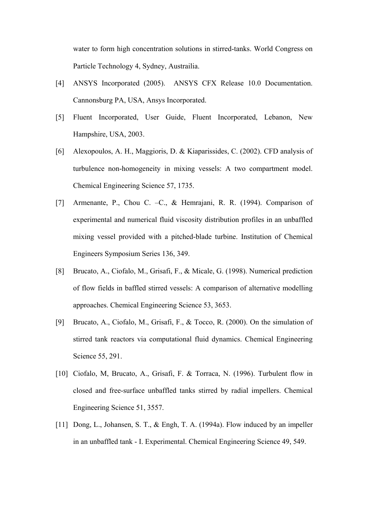water to form high concentration solutions in stirred-tanks. World Congress on Particle Technology 4, Sydney, Austrailia.

- [4] ANSYS Incorporated (2005). ANSYS CFX Release 10.0 Documentation. Cannonsburg PA, USA, Ansys Incorporated.
- [5] Fluent Incorporated, User Guide, Fluent Incorporated, Lebanon, New Hampshire, USA, 2003.
- [6] Alexopoulos, A. H., Maggioris, D. & Kiaparissides, C. (2002). CFD analysis of turbulence non-homogeneity in mixing vessels: A two compartment model. Chemical Engineering Science 57, 1735.
- [7] Armenante, P., Chou C. –C., & Hemrajani, R. R. (1994). Comparison of experimental and numerical fluid viscosity distribution profiles in an unbaffled mixing vessel provided with a pitched-blade turbine. Institution of Chemical Engineers Symposium Series 136, 349.
- [8] Brucato, A., Ciofalo, M., Grisafi, F., & Micale, G. (1998). Numerical prediction of flow fields in baffled stirred vessels: A comparison of alternative modelling approaches. Chemical Engineering Science 53, 3653.
- [9] Brucato, A., Ciofalo, M., Grisafi, F., & Tocco, R. (2000). On the simulation of stirred tank reactors via computational fluid dynamics. Chemical Engineering Science 55, 291.
- [10] Ciofalo, M, Brucato, A., Grisafi, F. & Torraca, N. (1996). Turbulent flow in closed and free-surface unbaffled tanks stirred by radial impellers. Chemical Engineering Science 51, 3557.
- [11] Dong, L., Johansen, S. T., & Engh, T. A. (1994a). Flow induced by an impeller in an unbaffled tank - I. Experimental. Chemical Engineering Science 49, 549.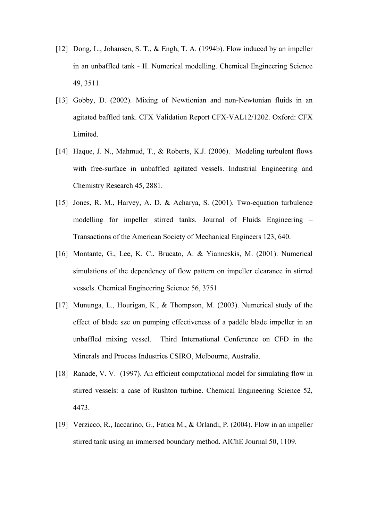- [12] Dong, L., Johansen, S. T., & Engh, T. A. (1994b). Flow induced by an impeller in an unbaffled tank - II. Numerical modelling. Chemical Engineering Science 49, 3511.
- [13] Gobby, D. (2002). Mixing of Newtionian and non-Newtonian fluids in an agitated baffled tank. CFX Validation Report CFX-VAL12/1202. Oxford: CFX Limited.
- [14] Haque, J. N., Mahmud, T., & Roberts, K.J. (2006). Modeling turbulent flows with free-surface in unbaffled agitated vessels. Industrial Engineering and Chemistry Research 45, 2881.
- [15] Jones, R. M., Harvey, A. D. & Acharya, S. (2001). Two-equation turbulence modelling for impeller stirred tanks. Journal of Fluids Engineering – Transactions of the American Society of Mechanical Engineers 123, 640.
- [16] Montante, G., Lee, K. C., Brucato, A. & Yianneskis, M. (2001). Numerical simulations of the dependency of flow pattern on impeller clearance in stirred vessels. Chemical Engineering Science 56, 3751.
- [17] Mununga, L., Hourigan, K., & Thompson, M. (2003). Numerical study of the effect of blade sze on pumping effectiveness of a paddle blade impeller in an unbaffled mixing vessel. Third International Conference on CFD in the Minerals and Process Industries CSIRO, Melbourne, Australia.
- [18] Ranade, V. V. (1997). An efficient computational model for simulating flow in stirred vessels: a case of Rushton turbine. Chemical Engineering Science 52, 4473.
- [19] Verzicco, R., Iaccarino, G., Fatica M., & Orlandi, P. (2004). Flow in an impeller stirred tank using an immersed boundary method. AIChE Journal 50, 1109.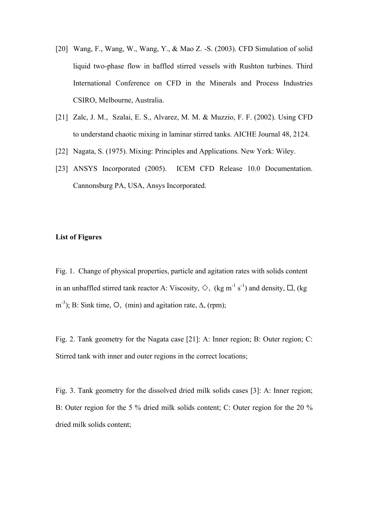- [20] Wang, F., Wang, W., Wang, Y., & Mao Z. -S. (2003). CFD Simulation of solid liquid two-phase flow in baffled stirred vessels with Rushton turbines. Third International Conference on CFD in the Minerals and Process Industries CSIRO, Melbourne, Australia.
- [21] Zalc, J. M., Szalai, E. S., Alvarez, M. M. & Muzzio, F. F. (2002). Using CFD to understand chaotic mixing in laminar stirred tanks. AICHE Journal 48, 2124.
- [22] Nagata, S. (1975). Mixing: Principles and Applications. New York: Wiley.
- [23] ANSYS Incorporated (2005). ICEM CFD Release 10.0 Documentation. Cannonsburg PA, USA, Ansys Incorporated.

# **List of Figures**

Fig. 1. Change of physical properties, particle and agitation rates with solids content in an unbaffled stirred tank reactor A: Viscosity,  $\Diamond$ , (kg m<sup>-1</sup> s<sup>-1</sup>) and density,  $\Box$ , (kg m<sup>-3</sup>); B: Sink time,  $O$ , (min) and agitation rate,  $\Delta$ , (rpm);

Fig. 2. Tank geometry for the Nagata case [21]: A: Inner region; B: Outer region; C: Stirred tank with inner and outer regions in the correct locations;

Fig. 3. Tank geometry for the dissolved dried milk solids cases [3]: A: Inner region; B: Outer region for the 5 % dried milk solids content; C: Outer region for the 20 % dried milk solids content;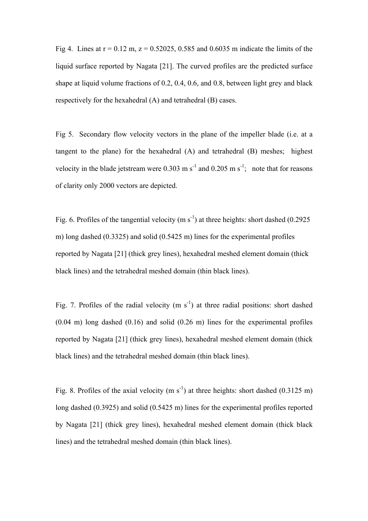Fig 4. Lines at  $r = 0.12$  m,  $z = 0.52025$ , 0.585 and 0.6035 m indicate the limits of the liquid surface reported by Nagata [21]. The curved profiles are the predicted surface shape at liquid volume fractions of 0.2, 0.4, 0.6, and 0.8, between light grey and black respectively for the hexahedral (A) and tetrahedral (B) cases.

Fig 5. Secondary flow velocity vectors in the plane of the impeller blade (i.e. at a tangent to the plane) for the hexahedral (A) and tetrahedral (B) meshes; highest velocity in the blade jetstream were 0.303 m  $s^{-1}$  and 0.205 m  $s^{-1}$ ; note that for reasons of clarity only 2000 vectors are depicted.

Fig. 6. Profiles of the tangential velocity  $(m s<sup>-1</sup>)$  at three heights: short dashed (0.2925) m) long dashed (0.3325) and solid (0.5425 m) lines for the experimental profiles reported by Nagata [21] (thick grey lines), hexahedral meshed element domain (thick black lines) and the tetrahedral meshed domain (thin black lines).

Fig. 7. Profiles of the radial velocity  $(m s<sup>-1</sup>)$  at three radial positions: short dashed  $(0.04 \text{ m})$  long dashed  $(0.16)$  and solid  $(0.26 \text{ m})$  lines for the experimental profiles reported by Nagata [21] (thick grey lines), hexahedral meshed element domain (thick black lines) and the tetrahedral meshed domain (thin black lines).

Fig. 8. Profiles of the axial velocity (m  $s^{-1}$ ) at three heights: short dashed (0.3125 m) long dashed (0.3925) and solid (0.5425 m) lines for the experimental profiles reported by Nagata [21] (thick grey lines), hexahedral meshed element domain (thick black lines) and the tetrahedral meshed domain (thin black lines).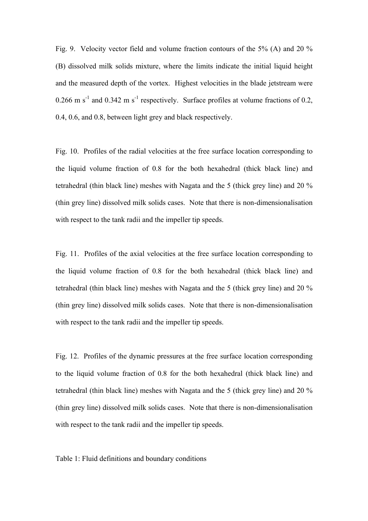Fig. 9. Velocity vector field and volume fraction contours of the 5% (A) and 20 % (B) dissolved milk solids mixture, where the limits indicate the initial liquid height and the measured depth of the vortex. Highest velocities in the blade jetstream were  $0.266$  m s<sup>-1</sup> and  $0.342$  m s<sup>-1</sup> respectively. Surface profiles at volume fractions of 0.2, 0.4, 0.6, and 0.8, between light grey and black respectively.

Fig. 10. Profiles of the radial velocities at the free surface location corresponding to the liquid volume fraction of 0.8 for the both hexahedral (thick black line) and tetrahedral (thin black line) meshes with Nagata and the 5 (thick grey line) and 20 % (thin grey line) dissolved milk solids cases. Note that there is non-dimensionalisation with respect to the tank radii and the impeller tip speeds.

Fig. 11. Profiles of the axial velocities at the free surface location corresponding to the liquid volume fraction of 0.8 for the both hexahedral (thick black line) and tetrahedral (thin black line) meshes with Nagata and the 5 (thick grey line) and 20 % (thin grey line) dissolved milk solids cases. Note that there is non-dimensionalisation with respect to the tank radii and the impeller tip speeds.

Fig. 12. Profiles of the dynamic pressures at the free surface location corresponding to the liquid volume fraction of 0.8 for the both hexahedral (thick black line) and tetrahedral (thin black line) meshes with Nagata and the 5 (thick grey line) and 20 % (thin grey line) dissolved milk solids cases. Note that there is non-dimensionalisation with respect to the tank radii and the impeller tip speeds.

## Table 1: Fluid definitions and boundary conditions